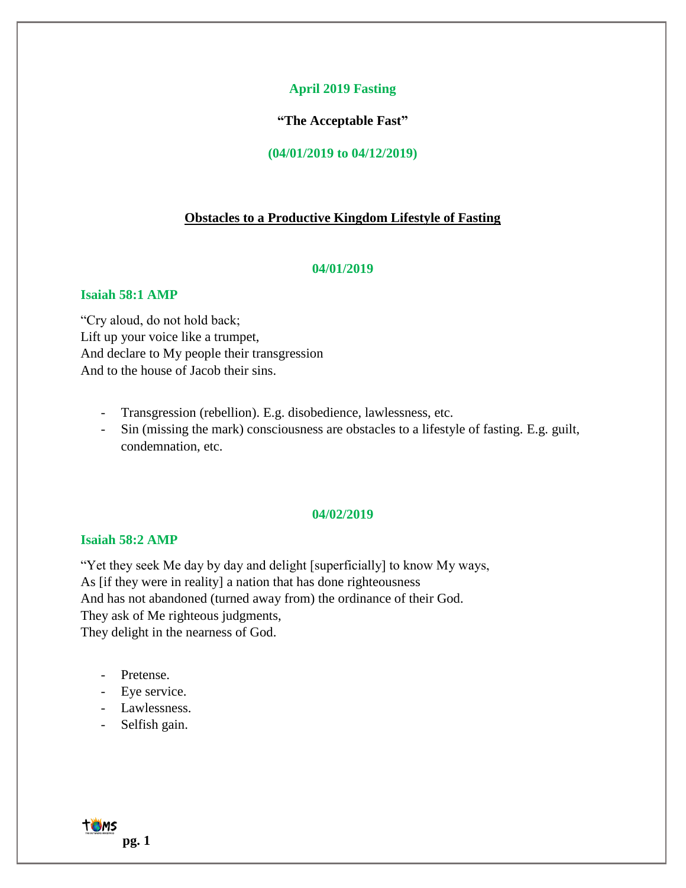### **April 2019 Fasting**

**"The Acceptable Fast"**

**(04/01/2019 to 04/12/2019)**

### **Obstacles to a Productive Kingdom Lifestyle of Fasting**

### **04/01/2019**

# **Isaiah 58:1 AMP**

"Cry aloud, do not hold back; Lift up your voice like a trumpet, And declare to My people their transgression And to the house of Jacob their sins.

- Transgression (rebellion). E.g. disobedience, lawlessness, etc.
- Sin (missing the mark) consciousness are obstacles to a lifestyle of fasting. E.g. guilt, condemnation, etc.

# **04/02/2019**

### **Isaiah 58:2 AMP**

"Yet they seek Me day by day and delight [superficially] to know My ways, As [if they were in reality] a nation that has done righteousness And has not abandoned (turned away from) the ordinance of their God. They ask of Me righteous judgments, They delight in the nearness of God.

- Pretense.
- Eye service.
- Lawlessness.
- Selfish gain.

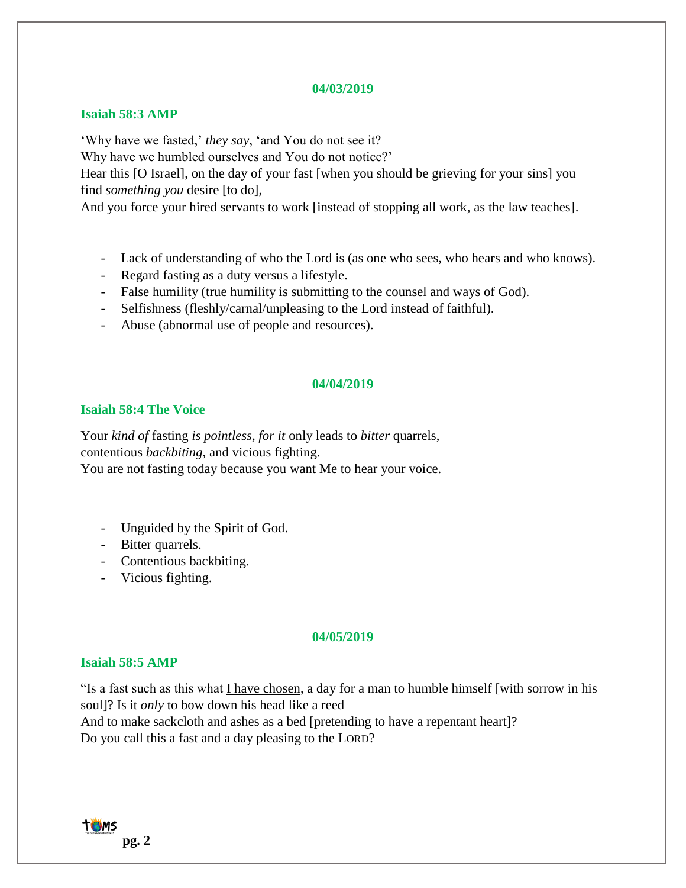#### **04/03/2019**

### **Isaiah 58:3 AMP**

'Why have we fasted,' *they say*, 'and You do not see it?

Why have we humbled ourselves and You do not notice?'

Hear this [O Israel], on the day of your fast [when you should be grieving for your sins] you find *something you* desire [to do],

And you force your hired servants to work [instead of stopping all work, as the law teaches].

- Lack of understanding of who the Lord is (as one who sees, who hears and who knows).
- Regard fasting as a duty versus a lifestyle.
- False humility (true humility is submitting to the counsel and ways of God).
- Selfishness (fleshly/carnal/unpleasing to the Lord instead of faithful).
- Abuse (abnormal use of people and resources).

# **04/04/2019**

# **Isaiah 58:4 The Voice**

Your *kind of* fasting *is pointless, for it* only leads to *bitter* quarrels, contentious *backbiting,* and vicious fighting. You are not fasting today because you want Me to hear your voice.

- Unguided by the Spirit of God.
- Bitter quarrels.
- Contentious backbiting*.*
- Vicious fighting.

### **04/05/2019**

# **Isaiah 58:5 AMP**

"Is a fast such as this what I have chosen, a day for a man to humble himself [with sorrow in his soul]? Is it *only* to bow down his head like a reed And to make sackcloth and ashes as a bed [pretending to have a repentant heart]? Do you call this a fast and a day pleasing to the LORD?

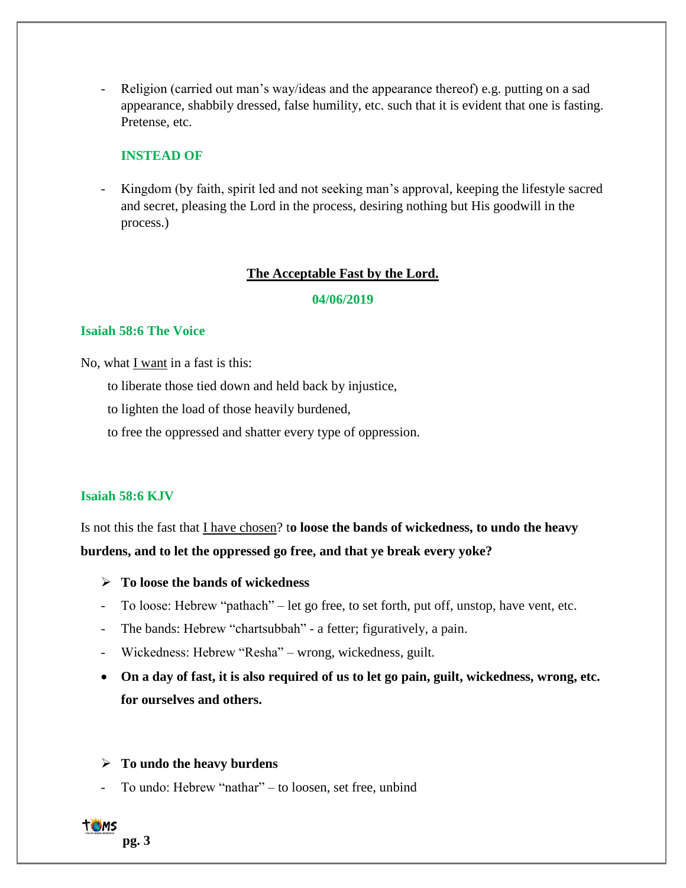Religion (carried out man's way/ideas and the appearance thereof) e.g. putting on a sad appearance, shabbily dressed, false humility, etc. such that it is evident that one is fasting. Pretense, etc.

# **INSTEAD OF**

Kingdom (by faith, spirit led and not seeking man's approval, keeping the lifestyle sacred and secret, pleasing the Lord in the process, desiring nothing but His goodwill in the process.)

# **The Acceptable Fast by the Lord.**

**04/06/2019**

### **Isaiah 58:6 The Voice**

No, what I want in a fast is this:

- to liberate those tied down and held back by injustice,
- to lighten the load of those heavily burdened,
- to free the oppressed and shatter every type of oppression.

# **Isaiah 58:6 KJV**

Is not this the fast that I have chosen? t**o loose the bands of wickedness, to undo the heavy burdens, and to let the oppressed go free, and that ye break every yoke?**

- ➢ **To loose the bands of wickedness**
- To loose: Hebrew "pathach" let go free, to set forth, put off, unstop, have vent, etc.
- The bands: Hebrew "chartsubbah" a fetter; figuratively, a pain.
- Wickedness: Hebrew "Resha" wrong, wickedness, guilt.
- **On a day of fast, it is also required of us to let go pain, guilt, wickedness, wrong, etc. for ourselves and others.**

# ➢ **To undo the heavy burdens**

- To undo: Hebrew "nathar" – to loosen, set free, unbind

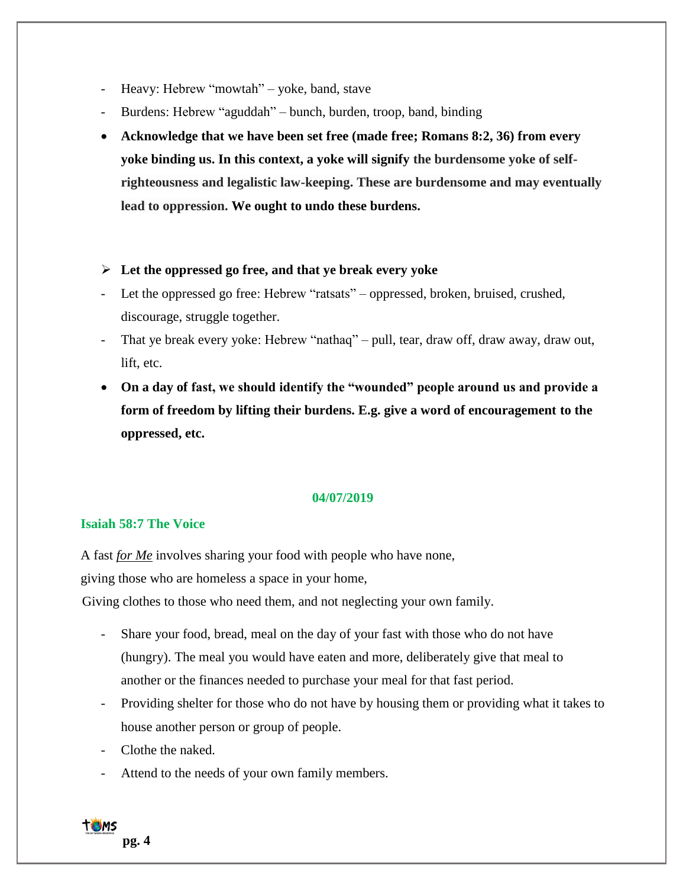- Heavy: Hebrew "mowtah" yoke, band, stave
- Burdens: Hebrew "aguddah" bunch, burden, troop, band, binding
- **Acknowledge that we have been set free (made free; Romans 8:2, 36) from every yoke binding us. In this context, a yoke will signify the burdensome yoke of selfrighteousness and legalistic law-keeping. These are burdensome and may eventually lead to oppression. We ought to undo these burdens.**

# ➢ **Let the oppressed go free, and that ye break every yoke**

- Let the oppressed go free: Hebrew "ratsats" oppressed, broken, bruised, crushed, discourage, struggle together.
- That ye break every yoke: Hebrew "nathaq" pull, tear, draw off, draw away, draw out, lift, etc.
- **On a day of fast, we should identify the "wounded" people around us and provide a form of freedom by lifting their burdens. E.g. give a word of encouragement to the oppressed, etc.**

# **04/07/2019**

### **Isaiah 58:7 The Voice**

A fast *for Me* involves sharing your food with people who have none, giving those who are homeless a space in your home,

Giving clothes to those who need them, and not neglecting your own family.

- Share your food, bread, meal on the day of your fast with those who do not have (hungry). The meal you would have eaten and more, deliberately give that meal to another or the finances needed to purchase your meal for that fast period.
- Providing shelter for those who do not have by housing them or providing what it takes to house another person or group of people.
- Clothe the naked.
- Attend to the needs of your own family members.

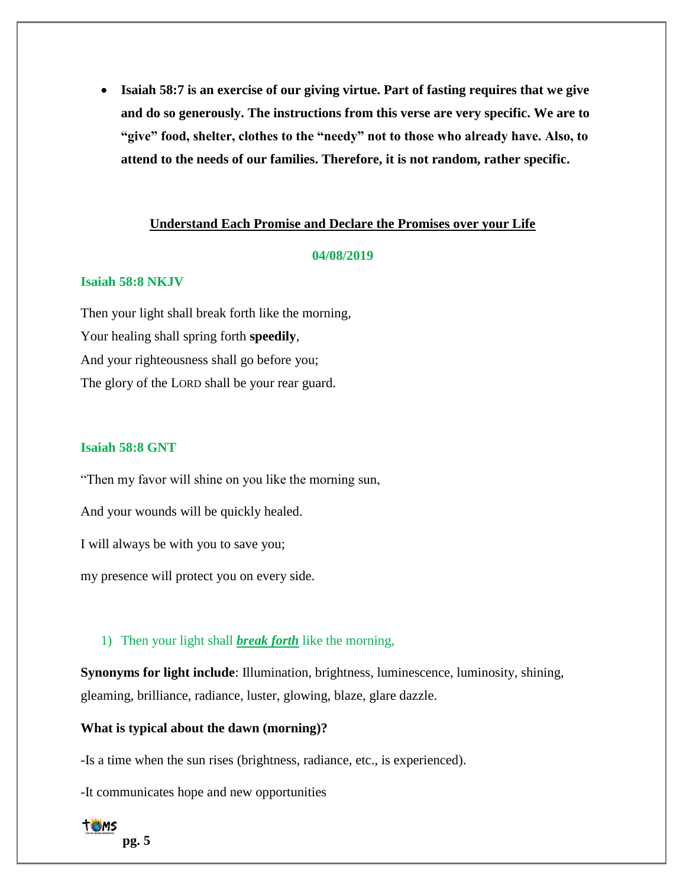• **Isaiah 58:7 is an exercise of our giving virtue. Part of fasting requires that we give and do so generously. The instructions from this verse are very specific. We are to "give" food, shelter, clothes to the "needy" not to those who already have. Also, to attend to the needs of our families. Therefore, it is not random, rather specific.**

# **Understand Each Promise and Declare the Promises over your Life**

#### **04/08/2019**

#### **Isaiah 58:8 NKJV**

Then your light shall break forth like the morning, Your healing shall spring forth **speedily**, And your righteousness shall go before you; The glory of the LORD shall be your rear guard.

### **Isaiah 58:8 GNT**

"Then my favor will shine on you like the morning sun, And your wounds will be quickly healed. I will always be with you to save you; my presence will protect you on every side.

# 1) Then your light shall *break forth* like the morning,

**Synonyms for light include**: Illumination, brightness, luminescence, luminosity, shining, gleaming, brilliance, radiance, luster, glowing, blaze, glare dazzle.

**What is typical about the dawn (morning)?**

-Is a time when the sun rises (brightness, radiance, etc., is experienced).

-It communicates hope and new opportunities

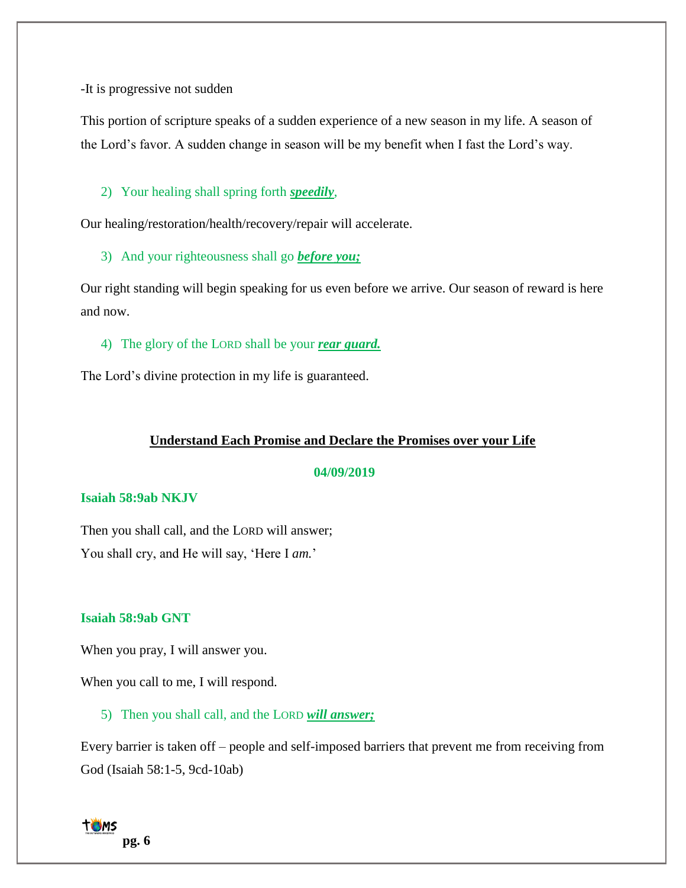-It is progressive not sudden

This portion of scripture speaks of a sudden experience of a new season in my life. A season of the Lord's favor. A sudden change in season will be my benefit when I fast the Lord's way.

2) Your healing shall spring forth *speedily*,

Our healing/restoration/health/recovery/repair will accelerate.

3) And your righteousness shall go *before you;*

Our right standing will begin speaking for us even before we arrive. Our season of reward is here and now.

4) The glory of the LORD shall be your *rear guard.*

The Lord's divine protection in my life is guaranteed.

# **Understand Each Promise and Declare the Promises over your Life**

### **04/09/2019**

### **Isaiah 58:9ab NKJV**

Then you shall call, and the LORD will answer; You shall cry, and He will say, 'Here I *am.*'

# **Isaiah 58:9ab GNT**

When you pray, I will answer you.

When you call to me, I will respond.

5) Then you shall call, and the LORD *will answer;*

Every barrier is taken off – people and self-imposed barriers that prevent me from receiving from God (Isaiah 58:1-5, 9cd-10ab)

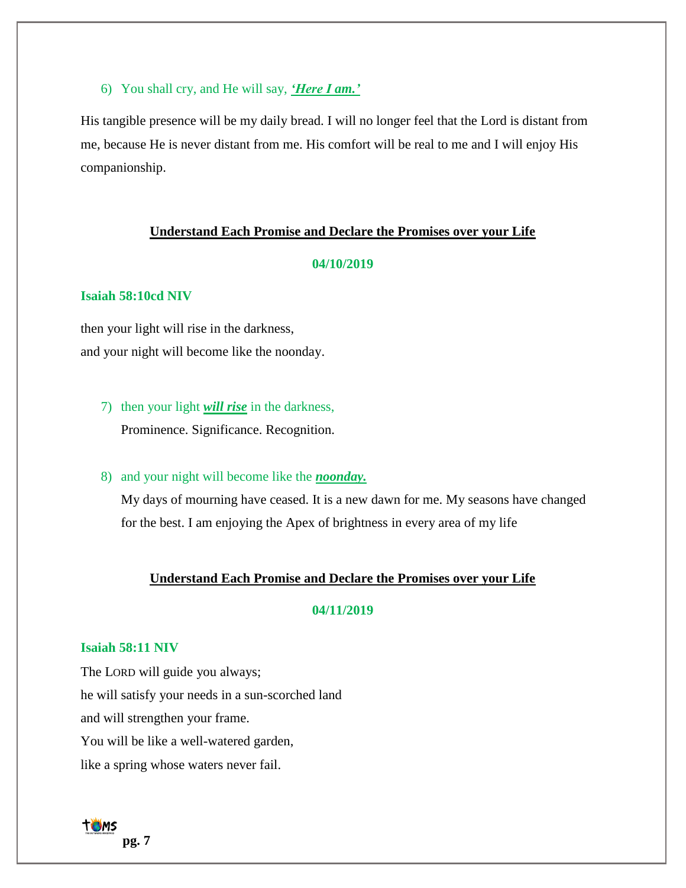6) You shall cry, and He will say, *'Here I am.'*

His tangible presence will be my daily bread. I will no longer feel that the Lord is distant from me, because He is never distant from me. His comfort will be real to me and I will enjoy His companionship.

#### **Understand Each Promise and Declare the Promises over your Life**

#### **04/10/2019**

# **Isaiah 58:10cd NIV**

then your light will rise in the darkness, and your night will become like the noonday.

7) then your light *will rise* in the darkness, Prominence. Significance. Recognition.

### 8) and your night will become like the *noonday.*

My days of mourning have ceased. It is a new dawn for me. My seasons have changed for the best. I am enjoying the Apex of brightness in every area of my life

#### **Understand Each Promise and Declare the Promises over your Life**

# **04/11/2019**

# **Isaiah 58:11 NIV**

The LORD will guide you always; he will satisfy your needs in a sun-scorched land and will strengthen your frame. You will be like a well-watered garden, like a spring whose waters never fail.

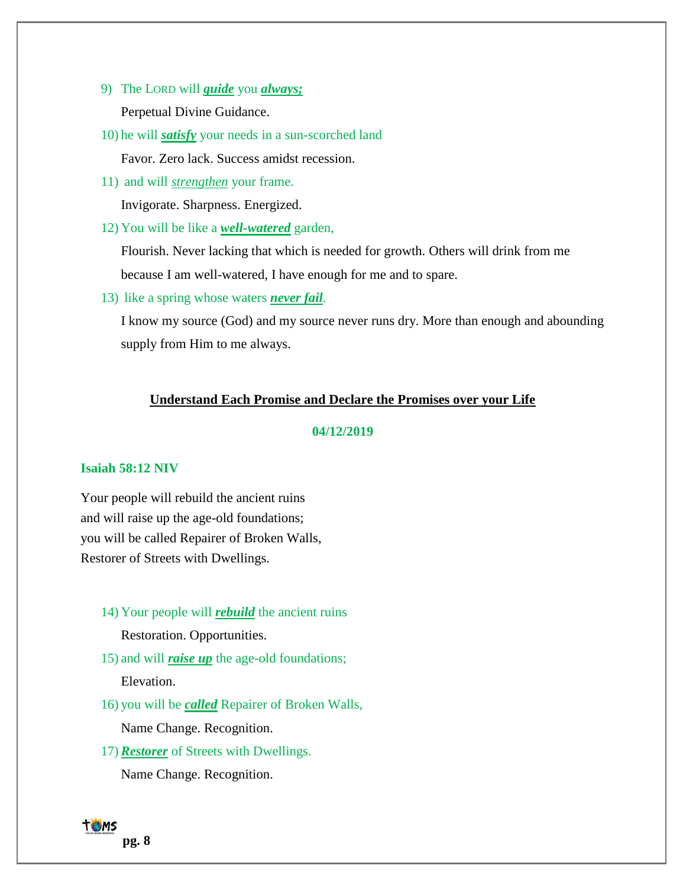- 9) The LORD will *guide* you *always;* Perpetual Divine Guidance.
- 10) he will *satisfy* your needs in a sun-scorched land Favor. Zero lack. Success amidst recession.
- 11) and will *strengthen* your frame. Invigorate. Sharpness. Energized.
- 12) You will be like a *well-watered* garden,

Flourish. Never lacking that which is needed for growth. Others will drink from me because I am well-watered, I have enough for me and to spare.

13) like a spring whose waters *never fail*.

I know my source (God) and my source never runs dry. More than enough and abounding supply from Him to me always.

# **Understand Each Promise and Declare the Promises over your Life**

# **04/12/2019**

#### **Isaiah 58:12 NIV**

Your people will rebuild the ancient ruins and will raise up the age-old foundations; you will be called Repairer of Broken Walls, Restorer of Streets with Dwellings.

14) Your people will *rebuild* the ancient ruins

Restoration. Opportunities.

15) and will *raise up* the age-old foundations;

Elevation.

16) you will be *called* Repairer of Broken Walls,

Name Change. Recognition.

17)*Restorer* of Streets with Dwellings.

Name Change. Recognition.